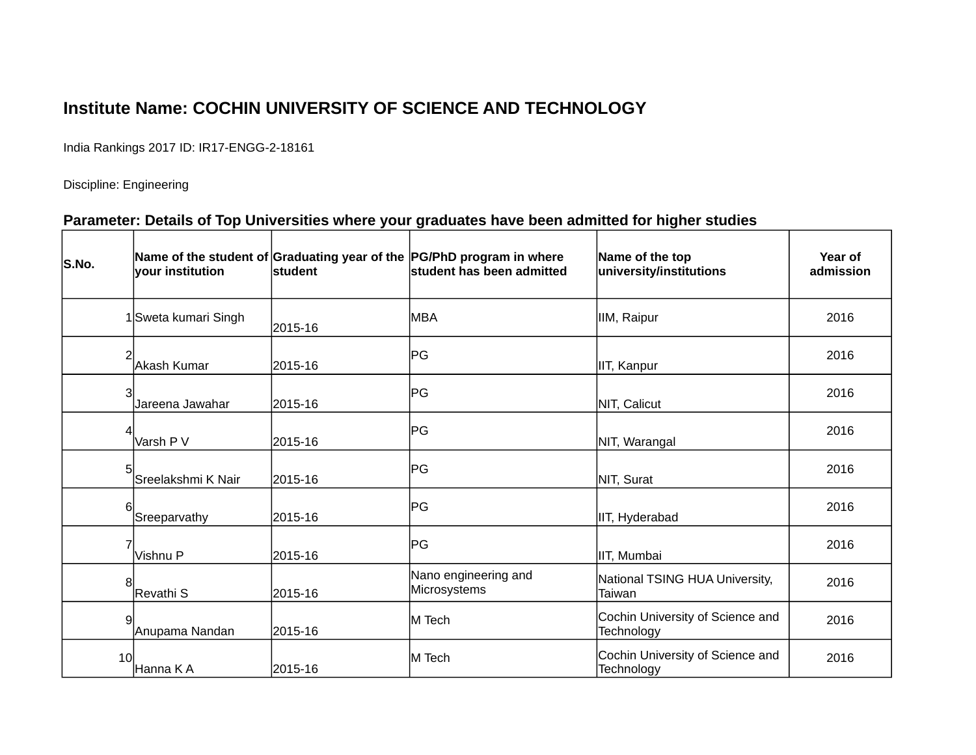## **Institute Name: COCHIN UNIVERSITY OF SCIENCE AND TECHNOLOGY**

India Rankings 2017 ID: IR17-ENGG-2-18161

Discipline: Engineering

## **Parameter: Details of Top Universities where your graduates have been admitted for higher studies**

| S.No. | vour institution     | lstudent | Name of the student of Graduating year of the PG/PhD program in where<br><b>student has been admitted</b> | Name of the top<br>university/institutions     | Year of<br>admission |
|-------|----------------------|----------|-----------------------------------------------------------------------------------------------------------|------------------------------------------------|----------------------|
|       | 1 Sweta kumari Singh | 2015-16  | lmba                                                                                                      | IIM, Raipur                                    | 2016                 |
| 2     | Akash Kumar          | 2015-16  | PG                                                                                                        | IIT, Kanpur                                    | 2016                 |
| 3     | Jareena Jawahar      | 2015-16  | PG                                                                                                        | NIT, Calicut                                   | 2016                 |
|       | Varsh P V            | 2015-16  | PG                                                                                                        | NIT, Warangal                                  | 2016                 |
| 5     | Sreelakshmi K Nair   | 2015-16  | PG                                                                                                        | NIT, Surat                                     | 2016                 |
| 6     | Sreeparvathy         | 2015-16  | PG                                                                                                        | IIT, Hyderabad                                 | 2016                 |
|       | Vishnu P             | 2015-16  | PG                                                                                                        | IIT, Mumbai                                    | 2016                 |
| 8     | Revathi S            | 2015-16  | Nano engineering and<br>Microsystems                                                                      | National TSING HUA University,<br>Taiwan       | 2016                 |
| 9     | Anupama Nandan       | 2015-16  | M Tech                                                                                                    | Cochin University of Science and<br>Technology | 2016                 |
| 10    | Hanna K A            | 2015-16  | M Tech                                                                                                    | Cochin University of Science and<br>Technology | 2016                 |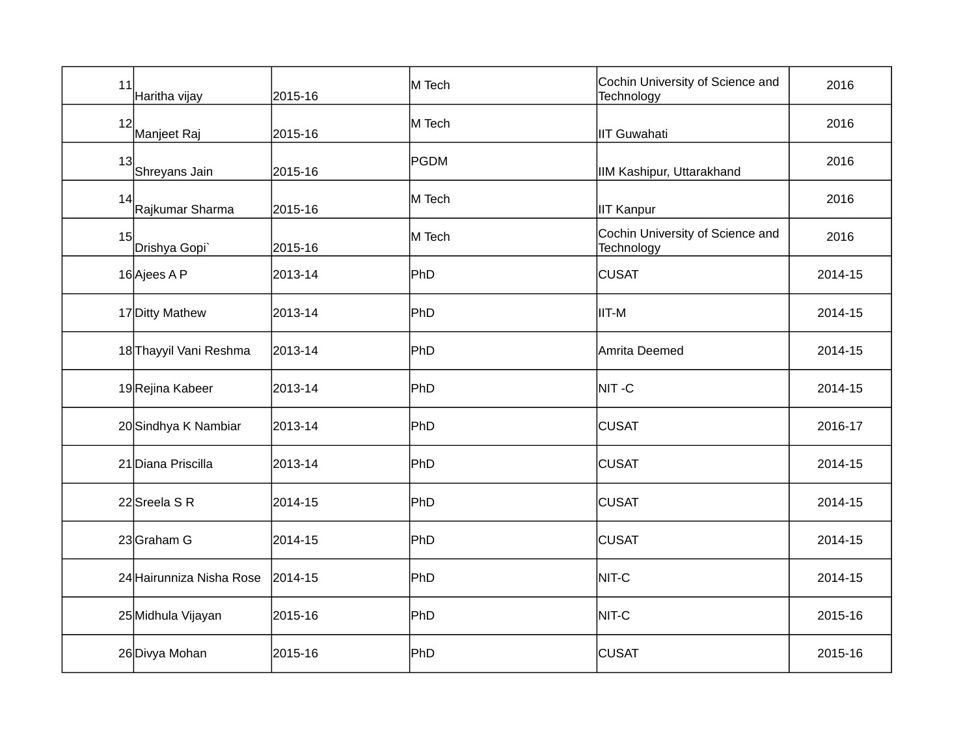| 11 | Haritha vijay            | 2015-16 | M Tech      | Cochin University of Science and<br>Technology | 2016    |
|----|--------------------------|---------|-------------|------------------------------------------------|---------|
| 12 | Manjeet Raj              | 2015-16 | M Tech      | <b>IIT Guwahati</b>                            | 2016    |
| 13 | Shreyans Jain            | 2015-16 | <b>PGDM</b> | IIM Kashipur, Uttarakhand                      | 2016    |
| 14 | Rajkumar Sharma          | 2015-16 | M Tech      | <b>IIT Kanpur</b>                              | 2016    |
| 15 | Drishya Gopi             | 2015-16 | M Tech      | Cochin University of Science and<br>Technology | 2016    |
|    | 16 Ajees A P             | 2013-14 | PhD         | <b>CUSAT</b>                                   | 2014-15 |
|    | 17 Ditty Mathew          | 2013-14 | PhD         | IIT-M                                          | 2014-15 |
|    | 18 Thayyil Vani Reshma   | 2013-14 | PhD         | Amrita Deemed                                  | 2014-15 |
|    | 19Rejina Kabeer          | 2013-14 | PhD         | NIT-C                                          | 2014-15 |
|    | 20 Sindhya K Nambiar     | 2013-14 | PhD         | <b>CUSAT</b>                                   | 2016-17 |
|    | 21 Diana Priscilla       | 2013-14 | PhD         | <b>CUSAT</b>                                   | 2014-15 |
|    | 22 Sreela S R            | 2014-15 | PhD         | <b>CUSAT</b>                                   | 2014-15 |
|    | 23 Graham G              | 2014-15 | PhD         | <b>CUSAT</b>                                   | 2014-15 |
|    | 24 Hairunniza Nisha Rose | 2014-15 | PhD         | NIT-C                                          | 2014-15 |
|    | 25 Midhula Vijayan       | 2015-16 | PhD         | NIT-C                                          | 2015-16 |
|    | 26 Divya Mohan           | 2015-16 | PhD         | <b>CUSAT</b>                                   | 2015-16 |